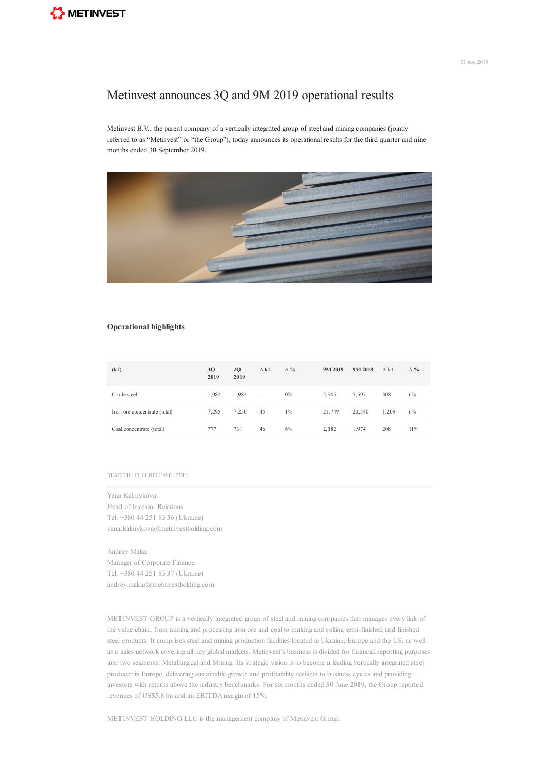## Metinvest announces 3Q and 9M 2019 operational results

Metinvest B.V., the parent company of a vertically integrated group of steel and mining companies (jointly referred to as "Metinvest" or "the Group"), today announces its operational results for the third quarter and nine months ended 30 September 2019.



## **Operational highlights**

| (kt)                         | 3Q<br>2019 | 2Q<br>2019 | $\Delta$ kt              | $\Delta \%$ | 9M 2019 | 9M 2018 | $\Lambda$ kt | $\Delta \%$ |
|------------------------------|------------|------------|--------------------------|-------------|---------|---------|--------------|-------------|
| Crude steel                  | 1.982      | 1.982      | $\overline{\phantom{a}}$ | $0\%$       | 5.905   | 5.597   | 308          | 6%          |
| Iron ore concentrate (total) | 7.295      | 7.250      | 45                       | $1\%$       | 21,749  | 20,540  | 1.209        | 6%          |
| Coal concentrate (total)     | 777        | 731        | 46                       | 6%          | 2.182   | 1.974   | 208          | 11%         |

## READ THE FULL [RELEASE](https://metinvestholding.com/Content/CmsFile/en/operreleases__Metinvest_Operational%20results_3Q%20and%209M%202019.pdf) (PDF)

Yana Kalmykova Head of Investor Relations Tel: +380 44 251 83 36 (Ukraine) yana.kalmykova@metinvestholding.com

Andrey Makar Manager of Corporate Finance Tel: +380 44 251 83 37 (Ukraine) andrey.makar@metinvestholding.com

METINVEST GROUP is a vertically integrated group of steel and mining companies that manages every link of the value chain, from mining and processing iron ore and coal to making and selling semi-finished and finished steel products. It comprises steel and mining production facilities located in Ukraine, Europe and the US, as well as a sales network covering all key global markets. Metinvest's business is divided for financial reporting purposes into two segments: Metallurgical and Mining. Its strategic vision is to become a leading vertically integrated steel producer in Europe, delivering sustainable growth and profitability resilient to business cycles and providing investors with returns above the industry benchmarks. For six months ended 30 June 2019, the Group reported revenues of US\$5.8 bn and an EBITDA margin of 15%.

METINVEST HOLDING LLC is the management company of Metinvest Group.